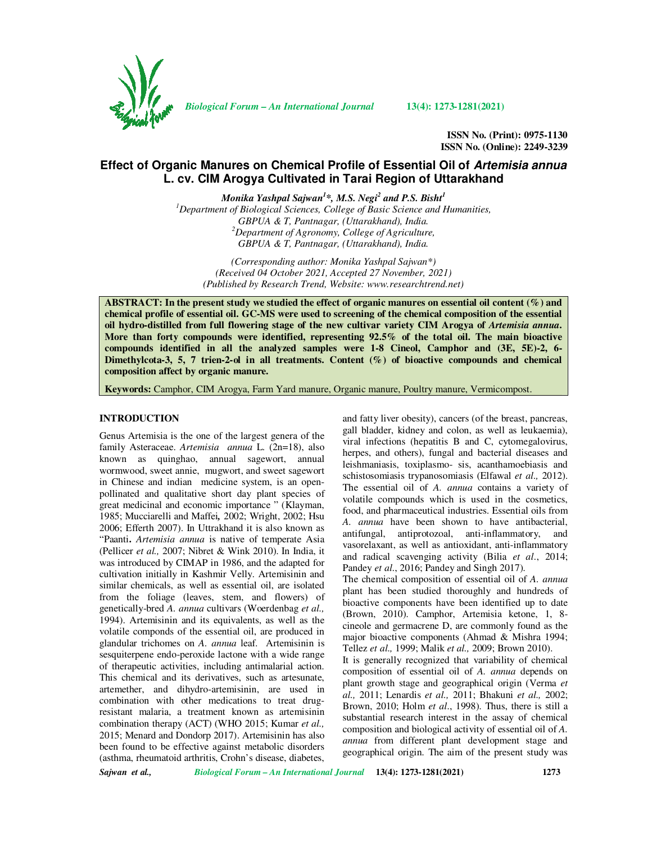

*Biological Forum – An International Journal* **13(4): 1273-1281(2021)**

**ISSN No. (Print): 0975-1130 ISSN No. (Online): 2249-3239** 

# **Effect of Organic Manures on Chemical Profile of Essential Oil of Artemisia annua L. cv. CIM Arogya Cultivated in Tarai Region of Uttarakhand**

*Monika Yashpal Sajwan<sup>1</sup> \*, M.S. Negi<sup>2</sup> and P.S. Bisht<sup>1</sup>*

*<sup>1</sup>Department of Biological Sciences, College of Basic Science and Humanities, GBPUA & T, Pantnagar, (Uttarakhand), India. <sup>2</sup>Department of Agronomy, College of Agriculture, GBPUA & T, Pantnagar, (Uttarakhand), India.* 

*(Corresponding author: Monika Yashpal Sajwan\*) (Received 04 October 2021, Accepted 27 November, 2021) (Published by Research Trend, Website: www.researchtrend.net)* 

**ABSTRACT: In the present study we studied the effect of organic manures on essential oil content (%) and chemical profile of essential oil. GC-MS were used to screening of the chemical composition of the essential**  oil hydro-distilled from full flowering stage of the new cultivar variety CIM Arogya of *Artemisia annua*. **More than forty compounds were identified, representing 92.5% of the total oil. The main bioactive compounds identified in all the analyzed samples were 1-8 Cineol, Camphor and (3E, 5E)-2, 6- Dimethylcota-3, 5, 7 trien-2-ol in all treatments. Content (%) of bioactive compounds and chemical composition affect by organic manure.**

**Keywords:** Camphor, CIM Arogya, Farm Yard manure, Organic manure, Poultry manure, Vermicompost.

### **INTRODUCTION**

Genus Artemisia is the one of the largest genera of the family Asteraceae. *Artemisia annua* L. (2n=18), also known as quinghao, annual sagewort, annual wormwood, sweet annie, mugwort, and sweet sagewort in Chinese and indian medicine system, is an openpollinated and qualitative short day plant species of great medicinal and economic importance " (Klayman, 1985; Mucciarelli and Maffei*,* 2002; Wright, 2002; Hsu 2006; Efferth 2007). In Uttrakhand it is also known as "Paanti**.** *Artemisia annua* is native of temperate Asia (Pellicer *et al.,* 2007; Nibret & Wink 2010). In India, it was introduced by CIMAP in 1986, and the adapted for cultivation initially in Kashmir Velly. Artemisinin and similar chemicals, as well as essential oil, are isolated from the foliage (leaves, stem, and flowers) of genetically-bred *A. annua* cultivars (Woerdenbag *et al.,* 1994). Artemisinin and its equivalents, as well as the volatile componds of the essential oil, are produced in glandular trichomes on *A. annua* leaf. Artemisinin is sesquiterpene endo-peroxide lactone with a wide range of therapeutic activities, including antimalarial action. This chemical and its derivatives, such as artesunate, artemether, and dihydro-artemisinin, are used in combination with other medications to treat drugresistant malaria, a treatment known as artemisinin combination therapy (ACT) (WHO 2015; Kumar *et al.,* 2015; Menard and Dondorp 2017). Artemisinin has also been found to be effective against metabolic disorders (asthma, rheumatoid arthritis, Crohn's disease, diabetes,

and fatty liver obesity), cancers (of the breast, pancreas, gall bladder, kidney and colon, as well as leukaemia), viral infections (hepatitis B and C, cytomegalovirus, herpes, and others), fungal and bacterial diseases and leishmaniasis, toxiplasmo- sis, acanthamoebiasis and schistosomiasis trypanosomiasis (Elfawal *et al.,* 2012). The essential oil of *A. annua* contains a variety of volatile compounds which is used in the cosmetics, food, and pharmaceutical industries. Essential oils from *A. annua* have been shown to have antibacterial, antifungal, antiprotozoal, anti-inflammatory, and vasorelaxant, as well as antioxidant, anti-inflammatory and radical scavenging activity (Bilia *et al*., 2014; Pandey *et al*., 2016; Pandey and Singh 2017).

The chemical composition of essential oil of *A. annua* plant has been studied thoroughly and hundreds of bioactive components have been identified up to date (Brown, 2010). Camphor, Artemisia ketone, 1, 8 cineole and germacrene D, are commonly found as the major bioactive components (Ahmad & Mishra 1994; Tellez *et al.,* 1999; Malik *et al.,* 2009; Brown 2010).

It is generally recognized that variability of chemical composition of essential oil of *A. annua* depends on plant growth stage and geographical origin (Verma *et al.,* 2011; Lenardis *et al.,* 2011; Bhakuni *et al.,* 2002; Brown, 2010; Holm *et al*., 1998). Thus, there is still a substantial research interest in the assay of chemical composition and biological activity of essential oil of *A. annua* from different plant development stage and geographical origin. The aim of the present study was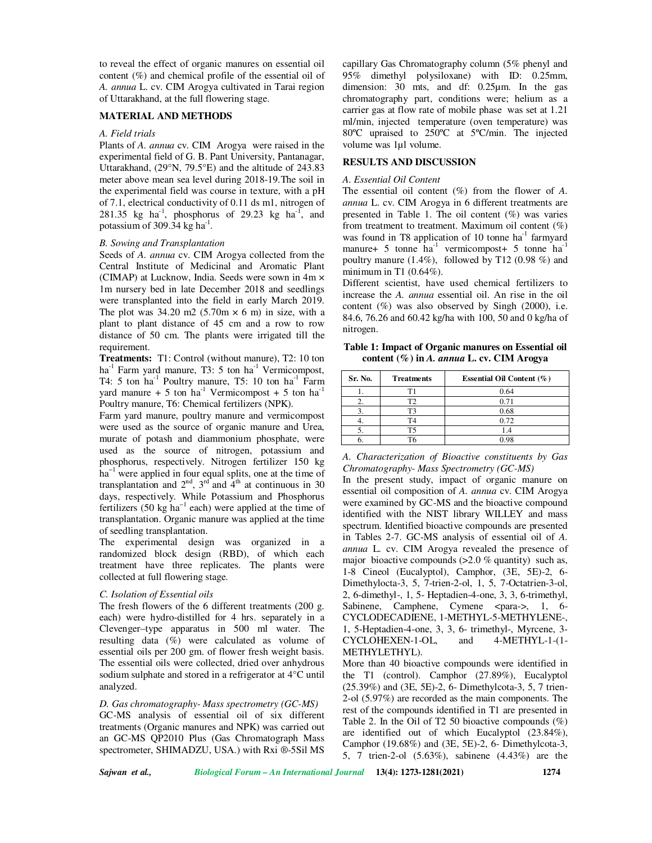to reveal the effect of organic manures on essential oil content (%) and chemical profile of the essential oil of *A. annua* L. cv. CIM Arogya cultivated in Tarai region of Uttarakhand, at the full flowering stage.

## **MATERIAL AND METHODS**

#### *A. Field trials*

Plants of *A. annua* cv. CIM Arogya were raised in the experimental field of G. B. Pant University, Pantanagar, Uttarakhand, (29°N, 79.5°E) and the altitude of 243.83 meter above mean sea level during 2018-19.The soil in the experimental field was course in texture, with a pH of 7.1, electrical conductivity of 0.11 ds m1, nitrogen of 281.35 kg ha<sup>-1</sup>, phosphorus of 29.23 kg ha<sup>-1</sup>, and potassium of 309.34  $kg$  ha<sup>-1</sup>.

#### *B. Sowing and Transplantation*

Seeds of *A. annua* cv. CIM Arogya collected from the Central Institute of Medicinal and Aromatic Plant (CIMAP) at Lucknow, India. Seeds were sown in 4m × 1m nursery bed in late December 2018 and seedlings were transplanted into the field in early March 2019. The plot was  $34.20$  m2 (5.70m  $\times$  6 m) in size, with a plant to plant distance of 45 cm and a row to row distance of 50 cm. The plants were irrigated till the requirement.

**Treatments:** T1: Control (without manure), T2: 10 ton ha $^{-1}$  Farm yard manure, T3: 5 ton ha $^{-1}$  Vermicompost, T4: 5 ton ha<sup>-1</sup> Poultry manure, T5: 10 ton ha<sup>-1</sup> Farm yard manure + 5 ton ha<sup>-1</sup> Vermicompost + 5 ton ha<sup>-1</sup> Poultry manure, T6: Chemical fertilizers (NPK).

Farm yard manure, poultry manure and vermicompost were used as the source of organic manure and Urea, murate of potash and diammonium phosphate, were used as the source of nitrogen, potassium and phosphorus, respectively. Nitrogen fertilizer 150 kg ha<sup>-1</sup> were applied in four equal splits, one at the time of transplantation and  $2<sup>nd</sup>$ ,  $3<sup>rd</sup>$  and  $4<sup>th</sup>$  at continuous in 30 days, respectively. While Potassium and Phosphorus fertilizers (50 kg ha<sup>-1</sup> each) were applied at the time of transplantation. Organic manure was applied at the time of seedling transplantation.

The experimental design was organized in a randomized block design (RBD), of which each treatment have three replicates. The plants were collected at full flowering stage.

## *C. Isolation of Essential oils*

The fresh flowers of the 6 different treatments (200 g. each) were hydro-distilled for 4 hrs. separately in a Clevenger–type apparatus in 500 ml water. The resulting data (%) were calculated as volume of essential oils per 200 gm. of flower fresh weight basis. The essential oils were collected, dried over anhydrous sodium sulphate and stored in a refrigerator at 4°C until analyzed.

*D. Gas chromatography- Mass spectrometry (GC-MS)*  GC-MS analysis of essential oil of six different treatments (Organic manures and NPK) was carried out an GC-MS QP2010 Plus (Gas Chromatograph Mass spectrometer, SHIMADZU, USA.) with Rxi ®-5Sil MS capillary Gas Chromatography column (5% phenyl and 95% dimethyl polysiloxane) with ID: 0.25mm, dimension: 30 mts, and df: 0.25µm. In the gas chromatography part, conditions were; helium as a carrier gas at flow rate of mobile phase was set at 1.21 ml/min, injected temperature (oven temperature) was 80ºC upraised to 250ºC at 5ºC/min. The injected volume was 1µl volume.

## **RESULTS AND DISCUSSION**

#### *A. Essential Oil Content*

The essential oil content (%) from the flower of *A. annua* L. cv. CIM Arogya in 6 different treatments are presented in Table 1. The oil content (%) was varies from treatment to treatment. Maximum oil content  $(\%)$ was found in T8 application of 10 tonne  $ha^{-1}$  farmyard manure+ 5 tonne ha<sup>-1</sup> vermicompost+ 5 tonne ha<sup>-1</sup> poultry manure (1.4%), followed by T12 (0.98 %) and minimum in T1 (0.64%).

Different scientist, have used chemical fertilizers to increase the *A. annua* essential oil. An rise in the oil content  $(\%)$  was also observed by Singh (2000), i.e. 84.6, 76.26 and 60.42 kg/ha with 100, 50 and 0 kg/ha of nitrogen.

**Table 1: Impact of Organic manures on Essential oil content (%) in** *A. annua* **L. cv. CIM Arogya** 

| Sr. No. | <b>Treatments</b> | Essential Oil Content $(\% )$ |
|---------|-------------------|-------------------------------|
|         |                   | 0.64                          |
|         |                   | 0.71                          |
|         |                   | 0.68                          |
|         |                   | 0.72                          |
|         |                   |                               |
|         |                   | 0 ዓጻ                          |

*A. Characterization of Bioactive constituents by Gas Chromatography- Mass Spectrometry (GC-MS)* 

In the present study, impact of organic manure on essential oil composition of *A. annua* cv. CIM Arogya were examined by GC-MS and the bioactive compound identified with the NIST library WILLEY and mass spectrum. Identified bioactive compounds are presented in Tables 2-7. GC-MS analysis of essential oil of *A. annua* L. cv. CIM Arogya revealed the presence of major bioactive compounds  $(>2.0 \%$  quantity) such as, 1-8 Cineol (Eucalyptol), Camphor, (3E, 5E)-2, 6- Dimethylocta-3, 5, 7-trien-2-ol, 1, 5, 7-Octatrien-3-ol, 2, 6-dimethyl-, 1, 5- Heptadien-4-one, 3, 3, 6-trimethyl, Sabinene, Camphene, Cymene <para->, 1, 6-CYCLODECADIENE, 1-METHYL-5-METHYLENE-, 1, 5-Heptadien-4-one, 3, 3, 6- trimethyl-, Myrcene, 3- CYCLOHEXEN-1-OL, and 4-METHYL-1-(1- METHYLETHYL).

More than 40 bioactive compounds were identified in the T1 (control). Camphor (27.89%), Eucalyptol (25.39%) and (3E, 5E)-2, 6- Dimethylcota-3, 5, 7 trien-2-ol (5.97%) are recorded as the main components. The rest of the compounds identified in T1 are presented in Table 2. In the Oil of T2 50 bioactive compounds  $(\%)$ are identified out of which Eucalyptol (23.84%), Camphor (19.68%) and (3E, 5E)-2, 6- Dimethylcota-3, 5, 7 trien-2-ol (5.63%), sabinene (4.43%) are the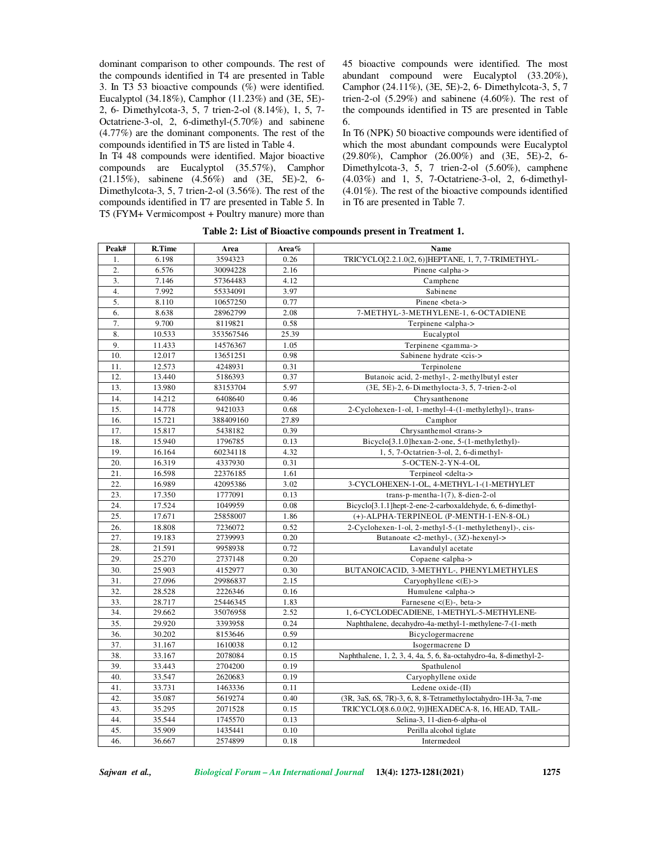dominant comparison to other compounds. The rest of the compounds identified in T4 are presented in Table 3. In T3 53 bioactive compounds (%) were identified. Eucalyptol (34.18%), Camphor (11.23%) and (3E, 5E)- 2, 6- Dimethylcota-3, 5, 7 trien-2-ol (8.14%), 1, 5, 7- Octatriene-3-ol, 2, 6-dimethyl-(5.70%) and sabinene (4.77%) are the dominant components. The rest of the compounds identified in T5 are listed in Table 4.

In T4 48 compounds were identified. Major bioactive compounds are Eucalyptol (35.57%), Camphor (21.15%), sabinene (4.56%) and (3E, 5E)-2, 6- Dimethylcota-3, 5, 7 trien-2-ol (3.56%). The rest of the compounds identified in T7 are presented in Table 5. In T5 (FYM+ Vermicompost + Poultry manure) more than 45 bioactive compounds were identified. The most abundant compound were Eucalyptol (33.20%), Camphor (24.11%), (3E, 5E)-2, 6- Dimethylcota-3, 5, 7 trien-2-ol (5.29%) and sabinene (4.60%). The rest of the compounds identified in T5 are presented in Table 6.

In T6 (NPK) 50 bioactive compounds were identified of which the most abundant compounds were Eucalyptol (29.80%), Camphor (26.00%) and (3E, 5E)-2, 6- Dimethylcota-3, 5, 7 trien-2-ol (5.60%), camphene (4.03%) and 1, 5, 7-Octatriene-3-ol, 2, 6-dimethyl- (4.01%). The rest of the bioactive compounds identified in T6 are presented in Table 7.

| Peak# | R.Time | Area      | Area% | Name                                                                   |
|-------|--------|-----------|-------|------------------------------------------------------------------------|
| 1.    | 6.198  | 3594323   | 0.26  | TRICYCLO[2.2.1.0(2, 6)]HEPTANE, 1, 7, 7-TRIMETHYL-                     |
| 2.    | 6.576  | 30094228  | 2.16  | Pinene <alpha-></alpha->                                               |
| 3.    | 7.146  | 57364483  | 4.12  | Camphene                                                               |
| 4.    | 7.992  | 55334091  | 3.97  | Sabinene                                                               |
| 5.    | 8.110  | 10657250  | 0.77  | Pinene<br>beta->                                                       |
| 6.    | 8.638  | 28962799  | 2.08  | 7-METHYL-3-METHYLENE-1, 6-OCTADIENE                                    |
| 7.    | 9.700  | 8119821   | 0.58  | Terpinene <alpha-></alpha->                                            |
| 8.    | 10.533 | 353567546 | 25.39 | Eucalyptol                                                             |
| 9.    | 11.433 | 14576367  | 1.05  | Terpinene <gamma-></gamma->                                            |
| 10.   | 12.017 | 13651251  | 0.98  | Sabinene hydrate <cis-></cis->                                         |
| 11.   | 12.573 | 4248931   | 0.31  | Terpinolene                                                            |
| 12.   | 13.440 | 5186393   | 0.37  | Butanoic acid, 2-methyl-, 2-methylbutyl ester                          |
| 13.   | 13.980 | 83153704  | 5.97  | (3E, 5E)-2, 6-Dimethylocta-3, 5, 7-trien-2-ol                          |
| 14.   | 14.212 | 6408640   | 0.46  | Chrysanthenone                                                         |
| 15.   | 14.778 | 9421033   | 0.68  | 2-Cyclohexen-1-ol, 1-methyl-4-(1-methylethyl)-, trans-                 |
| 16.   | 15.721 | 388409160 | 27.89 | Camphor                                                                |
| 17.   | 15.817 | 5438182   | 0.39  | Chrysanthemol <trans-></trans->                                        |
| 18.   | 15.940 | 1796785   | 0.13  | Bicyclo[3.1.0] hexan-2-one, 5-(1-methylethyl)-                         |
| 19.   | 16.164 | 60234118  | 4.32  | 1, 5, 7-Octatrien-3-ol, 2, 6-dimethyl-                                 |
| 20.   | 16.319 | 4337930   | 0.31  | 5-OCTEN-2-YN-4-OL                                                      |
| 21.   | 16.598 | 22376185  | 1.61  | Terpineol <delta-></delta->                                            |
| 22.   | 16.989 | 42095386  | 3.02  | 3-CYCLOHEXEN-1-OL, 4-METHYL-1-(1-METHYLET                              |
| 23.   | 17.350 | 1777091   | 0.13  | trans-p-mentha- $1(7)$ , 8-dien-2-ol                                   |
| 24.   | 17.524 | 1049959   | 0.08  | Bicyclo <sup>[3.1.1</sup> ]hept-2-ene-2-carboxaldehyde, 6, 6-dimethyl- |
| 25.   | 17.671 | 25858007  | 1.86  | (+)-ALPHA-TERPINEOL (P-MENTH-1-EN-8-OL)                                |
| 26.   | 18.808 | 7236072   | 0.52  | 2-Cyclohexen-1-ol, 2-methyl-5-(1-methylethenyl)-, cis-                 |
| 27.   | 19.183 | 2739993   | 0.20  | Butanoate <2-methyl-, $(3Z)$ -hexenyl->                                |
| 28.   | 21.591 | 9958938   | 0.72  | Lavandulyl acetate                                                     |
| 29.   | 25.270 | 2737148   | 0.20  | Copaene <alpha-></alpha->                                              |
| 30.   | 25.903 | 4152977   | 0.30  | BUTANOICACID, 3-METHYL-, PHENYLMETHYLES                                |
| 31.   | 27.096 | 29986837  | 2.15  | Caryophyllene $\lt(E)$ ->                                              |
| 32.   | 28.528 | 2226346   | 0.16  | Humulene <alpha-></alpha->                                             |
| 33.   | 28.717 | 25446345  | 1.83  | Farnesene $\lt$ (E)-, beta->                                           |
| 34.   | 29.662 | 35076958  | 2.52  | 1, 6-CYCLODECADIENE, 1-METHYL-5-METHYLENE-                             |
| 35.   | 29.920 | 3393958   | 0.24  | Naphthalene, decahydro-4a-methyl-1-methylene-7-(1-meth                 |
| 36.   | 30.202 | 8153646   | 0.59  | Bicyclogermacrene                                                      |
| 37.   | 31.167 | 1610038   | 0.12  | Isogermacrene D                                                        |
| 38.   | 33.167 | 2078084   | 0.15  | Naphthalene, 1, 2, 3, 4, 4a, 5, 6, 8a-octahydro-4a, 8-dimethyl-2-      |
| 39.   | 33.443 | 2704200   | 0.19  | Spathulenol                                                            |
| 40.   | 33.547 | 2620683   | 0.19  | Caryophyllene oxide                                                    |
| 41.   | 33.731 | 1463336   | 0.11  | Ledene oxide-(II)                                                      |
| 42.   | 35.087 | 5619274   | 0.40  | (3R, 3aS, 6S, 7R)-3, 6, 8, 8-Tetramethyloctahydro-1H-3a, 7-me          |
| 43.   | 35.295 | 2071528   | 0.15  | TRICYCLO[8.6.0.0(2, 9)]HEXADECA-8, 16, HEAD, TAIL-                     |
| 44.   | 35.544 | 1745570   | 0.13  | Selina-3, 11-dien-6-alpha-ol                                           |
| 45.   | 35.909 | 1435441   | 0.10  | Perilla alcohol tiglate                                                |
| 46.   | 36.667 | 2574899   | 0.18  | Intermedeol                                                            |

**Table 2: List of Bioactive compounds present in Treatment 1.**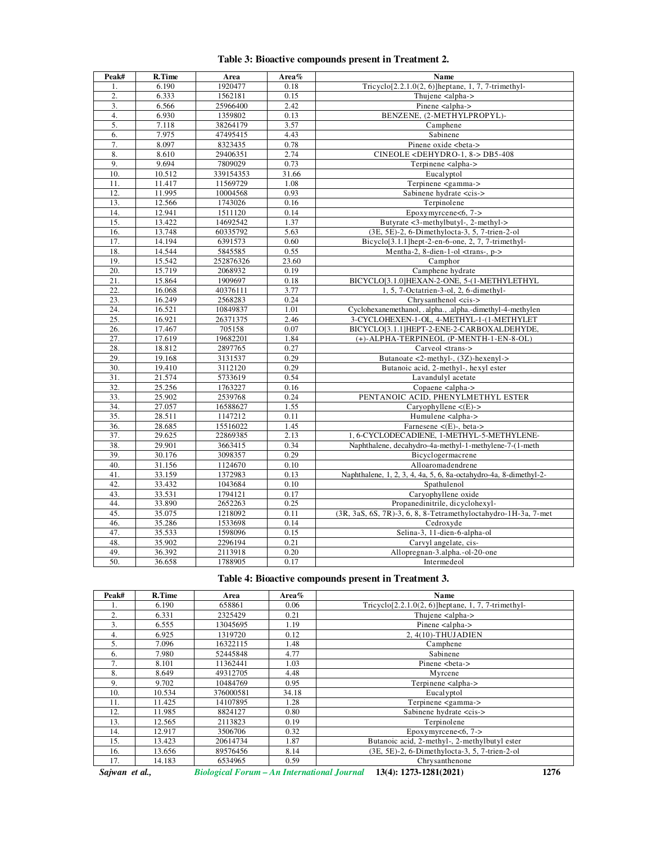| Peak#             | R.Time | Area      | Area% | Name                                                              |
|-------------------|--------|-----------|-------|-------------------------------------------------------------------|
| 1.                | 6.190  | 1920477   | 0.18  | Tricyclo <sup>[2.2.1.0(2, 6)</sup> ]heptane, 1, 7, 7-trimethyl-   |
| 2.                | 6.333  | 1562181   | 0.15  | Thujene <alpha-></alpha->                                         |
| 3.                | 6.566  | 25966400  | 2.42  | Pinene <alpha-></alpha->                                          |
| 4.                | 6.930  | 1359802   | 0.13  | BENZENE, (2-METHYLPROPYL)-                                        |
| 5.                | 7.118  | 38264179  | 3.57  | Camphene                                                          |
| 6.                | 7.975  | 47495415  | 4.43  | Sabinene                                                          |
| 7.                | 8.097  | 8323435   | 0.78  | Pinene oxide<br>beta->                                            |
| 8.                | 8.610  | 29406351  | 2.74  | $CINEOLE <$ DEHYDRO-1, 8-> DB5-408                                |
| 9.                | 9.694  | 7809029   | 0.73  | Terpinene <alpha-></alpha->                                       |
| 10.               | 10.512 | 339154353 | 31.66 | Eucalyptol                                                        |
| 11.               | 11.417 | 11569729  | 1.08  | Terpinene <gamma-></gamma->                                       |
| 12.               | 11.995 | 10004568  | 0.93  | Sabinene hydrate <cis-></cis->                                    |
| 13.               | 12.566 | 1743026   | 0.16  | Terpinolene                                                       |
| 14.               | 12.941 | 1511120   | 0.14  | Epoxymyrcene<6, $7 -$                                             |
| 15.               | 13.422 | 14692542  | 1.37  | Butyrate <3-methylbutyl-, 2-methyl->                              |
| 16.               | 13.748 | 60335792  | 5.63  | (3E, 5E)-2, 6-Dimethylocta-3, 5, 7-trien-2-ol                     |
| 17.               | 14.194 | 6391573   | 0.60  | Bicyclo <sup>[3.1.1</sup> ] hept-2-en-6-one, 2, 7, 7-trimethyl-   |
| 18.               | 14.544 | 5845585   | 0.55  | Mentha-2, 8-dien-1-ol <trans-, p-=""></trans-,>                   |
| 19.               | 15.542 | 252876326 | 23.60 | Camphor                                                           |
| 20.               | 15.719 | 2068932   | 0.19  | Camphene hydrate                                                  |
| 21.               | 15.864 | 1909697   | 0.18  | BICYCLO[3.1.0]HEXAN-2-ONE, 5-(1-METHYLETHYL                       |
| 22.               | 16.068 | 40376111  | 3.77  | 1, 5, 7-Octatrien-3-ol, 2, 6-dimethyl-                            |
| 23.               | 16.249 | 2568283   | 0.24  | Chrysanthenol <cis-></cis->                                       |
| 24.               | 16.521 | 10849837  | 1.01  | Cyclohexanemethanol, .alpha., .alpha.-dimethyl-4-methylen         |
| 25.               | 16.921 | 26371375  | 2.46  | 3-CYCLOHEXEN-1-OL, 4-METHYL-1-(1-METHYLET                         |
| 26.               | 17.467 | 705158    | 0.07  | BICYCLO[3.1.1]HEPT-2-ENE-2-CARBOXALDEHYDE,                        |
| 27.               | 17.619 | 19682201  | 1.84  | (+)-ALPHA-TERPINEOL (P-MENTH-1-EN-8-OL)                           |
| 28.               | 18.812 | 2897765   | 0.27  | Carveol <trans-></trans->                                         |
| 29.               | 19.168 | 3131537   | 0.29  | Butanoate <2-methyl-, (3Z)-hexenyl->                              |
| 30.               | 19.410 | 3112120   | 0.29  | Butanoic acid, 2-methyl-, hexyl ester                             |
| $\overline{31}$ . | 21.574 | 5733619   | 0.54  | Lavandulyl acetate                                                |
| 32.               | 25.256 | 1763227   | 0.16  | Copaene <alpha-></alpha->                                         |
| 33.               | 25.902 | 2539768   | 0.24  | PENTANOIC ACID, PHENYLMETHYL ESTER                                |
| 34.               | 27.057 | 16588627  | 1.55  | Caryophyllene $\langle (E) - \rangle$                             |
| 35.               | 28.511 | 1147212   | 0.11  | Humulene <alpha-></alpha->                                        |
| 36.               | 28.685 | 15516022  | 1.45  | Farnesene $\lt(E)$ -, beta->                                      |
| 37.               | 29.625 | 22869385  | 2.13  | 1, 6-CYCLODECADIENE, 1-METHYL-5-METHYLENE-                        |
| 38.               | 29.901 | 3663415   | 0.34  | Naphthalene, decahydro-4a-methyl-1-methylene-7-(1-meth            |
| 39.               | 30.176 | 3098357   | 0.29  | Bicyclogermacrene                                                 |
| 40.               | 31.156 | 1124670   | 0.10  | Alloaromadendrene                                                 |
| 41.               | 33.159 | 1372983   | 0.13  | Naphthalene, 1, 2, 3, 4, 4a, 5, 6, 8a-octahydro-4a, 8-dimethyl-2- |
| 42.               | 33.432 | 1043684   | 0.10  | Spathulenol                                                       |
| 43.               | 33.531 | 1794121   | 0.17  | Caryophyllene oxide                                               |
| 44.               | 33.890 | 2652263   | 0.25  | Propanedinitrile, dicyclohexyl-                                   |
| 45.               | 35.075 | 1218092   | 0.11  | (3R, 3aS, 6S, 7R)-3, 6, 8, 8-Tetramethyloctahydro-1H-3a, 7-met    |
| 46.               | 35.286 | 1533698   | 0.14  | Cedroxyde                                                         |
| 47.               | 35.533 | 1598096   | 0.15  | Selina-3, 11-dien-6-alpha-ol                                      |
| 48.               | 35.902 | 2296194   | 0.21  | Carvyl angelate, cis-                                             |
| 49.               | 36.392 | 2113918   | 0.20  | Allopregnan-3.alpha.-ol-20-one                                    |
| 50.               | 36.658 | 1788905   | 0.17  | Intermedeol                                                       |

# **Table 3: Bioactive compounds present in Treatment 2.**

# **Table 4: Bioactive compounds present in Treatment 3.**

| Peak# | R.Time | Area      | Area% | Name                                                            |
|-------|--------|-----------|-------|-----------------------------------------------------------------|
|       | 6.190  | 658861    | 0.06  | Tricyclo <sup>[2.2.1.0(2, 6)</sup> ]heptane, 1, 7, 7-trimethyl- |
| 2.    | 6.331  | 2325429   | 0.21  | Thujene <alpha-></alpha->                                       |
| 3.    | 6.555  | 13045695  | 1.19  | Pinene <alpha-></alpha->                                        |
| 4.    | 6.925  | 1319720   | 0.12  | 2, 4(10)-THUJADIEN                                              |
| 5.    | 7.096  | 16322115  | 1.48  | Camphene                                                        |
| 6.    | 7.980  | 52445848  | 4.77  | Sabinene                                                        |
| 7.    | 8.101  | 11362441  | 1.03  | Pinene <beta-></beta->                                          |
| 8.    | 8.649  | 49312705  | 4.48  | Myrcene                                                         |
| 9.    | 9.702  | 10484769  | 0.95  | Terpinene <alpha-></alpha->                                     |
| 10.   | 10.534 | 376000581 | 34.18 | Eucalyptol                                                      |
| 11.   | 11.425 | 14107895  | 1.28  | Terpinene <gamma-></gamma->                                     |
| 12.   | 11.985 | 8824127   | 0.80  | Sabinene hydrate <cis-></cis->                                  |
| 13.   | 12.565 | 2113823   | 0.19  | Terpinolene                                                     |
| 14.   | 12.917 | 3506706   | 0.32  | Epoxymyrcene<6, $7 -$                                           |
| 15.   | 13.423 | 20614734  | 1.87  | Butanoic acid, 2-methyl-, 2-methylbutyl ester                   |
| 16.   | 13.656 | 89576456  | 8.14  | (3E, 5E)-2, 6-Dimethylocta-3, 5, 7-trien-2-ol                   |
| 17.   | 14.183 | 6534965   | 0.59  | Chrysanthenone                                                  |

*Sajwan et al., Biological Forum – An International Journal* **13(4): 1273-1281(2021) 1276**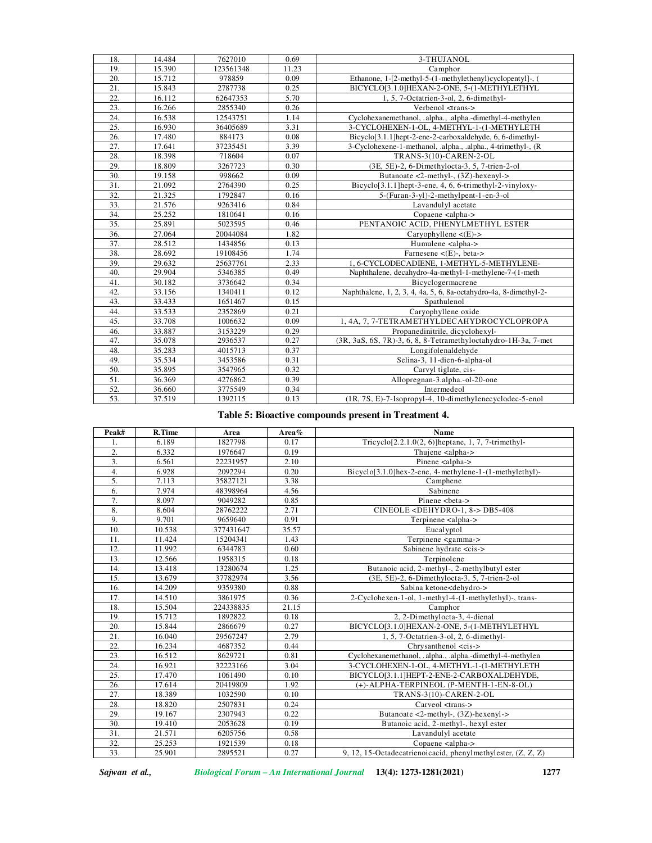| 18. | 14.484 | 7627010   | 0.69  | 3-THUJANOL                                                             |
|-----|--------|-----------|-------|------------------------------------------------------------------------|
| 19. | 15.390 | 123561348 | 11.23 | Camphor                                                                |
| 20. | 15.712 | 978859    | 0.09  | Ethanone, 1-[2-methyl-5-(1-methylethenyl)cyclopentyl]-, (              |
| 21. | 15.843 | 2787738   | 0.25  | BICYCLO[3.1.0]HEXAN-2-ONE, 5-(1-METHYLETHYL                            |
| 22. | 16.112 | 62647353  | 5.70  | 1, 5, 7-Octatrien-3-ol, 2, 6-dimethyl-                                 |
| 23. | 16.266 | 2855340   | 0.26  | Verbenol <trans-></trans->                                             |
| 24. | 16.538 | 12543751  | 1.14  | Cyclohexanemethanol, .alpha., .alpha.-dimethyl-4-methylen              |
| 25. | 16.930 | 36405689  | 3.31  | 3-CYCLOHEXEN-1-OL, 4-METHYL-1-(1-METHYLETH                             |
| 26. | 17.480 | 884173    | 0.08  | Bicyclo <sup>[3.1.1]</sup> hept-2-ene-2-carboxaldehyde, 6, 6-dimethyl- |
| 27. | 17.641 | 37235451  | 3.39  | 3-Cyclohexene-1-methanol, .alpha., .alpha., 4-trimethyl-, (R)          |
| 28. | 18.398 | 718604    | 0.07  | TRANS-3(10)-CAREN-2-OL                                                 |
| 29. | 18.809 | 3267723   | 0.30  | (3E, 5E)-2, 6-Dimethylocta-3, 5, 7-trien-2-ol                          |
| 30. | 19.158 | 998662    | 0.09  | Butanoate <2-methyl-, $(3Z)$ -hexenyl->                                |
| 31. | 21.092 | 2764390   | 0.25  | Bicyclo <sup>[3.1.1</sup> ] hept-3-ene, 4, 6, 6-trimethyl-2-vinyloxy-  |
| 32. | 21.325 | 1792847   | 0.16  | $5-(Furan-3-yl)-2-methylpent-1-en-3-ol$                                |
| 33. | 21.576 | 9263416   | 0.84  | Lavandulyl acetate                                                     |
| 34. | 25.252 | 1810641   | 0.16  | Copaene <alpha-></alpha->                                              |
| 35. | 25.891 | 5023595   | 0.46  | PENTANOIC ACID, PHENYLMETHYL ESTER                                     |
| 36. | 27.064 | 20044084  | 1.82  | Caryophyllene $\langle$ (E)->                                          |
| 37. | 28.512 | 1434856   | 0.13  | Humulene <alpha-></alpha->                                             |
| 38. | 28.692 | 19108456  | 1.74  | Farnesene $\lt$ (E)-, beta->                                           |
| 39. | 29.632 | 25637761  | 2.33  | 1, 6-CYCLODECADIENE, 1-METHYL-5-METHYLENE-                             |
| 40. | 29.904 | 5346385   | 0.49  | Naphthalene, decahydro-4a-methyl-1-methylene-7-(1-meth                 |
| 41. | 30.182 | 3736642   | 0.34  | Bicyclogermacrene                                                      |
| 42. | 33.156 | 1340411   | 0.12  | Naphthalene, 1, 2, 3, 4, 4a, 5, 6, 8a-octahydro-4a, 8-dimethyl-2-      |
| 43. | 33.433 | 1651467   | 0.15  | Spathulenol                                                            |
| 44. | 33.533 | 2352869   | 0.21  | Caryophyllene oxide                                                    |
| 45. | 33.708 | 1006632   | 0.09  | 1, 4A, 7, 7-TETRAMETHYLDECAHYDROCYCLOPROPA                             |
| 46. | 33.887 | 3153229   | 0.29  | Propanedinitrile, dicyclohexyl-                                        |
| 47. | 35.078 | 2936537   | 0.27  | (3R, 3aS, 6S, 7R)-3, 6, 8, 8-Tetramethyloctahydro-1H-3a, 7-met         |
| 48. | 35.283 | 4015713   | 0.37  | Longifolenaldehyde                                                     |
| 49. | 35.534 | 3453586   | 0.31  | Selina-3, 11-dien-6-alpha-ol                                           |
| 50. | 35.895 | 3547965   | 0.32  | Carvyl tiglate, cis-                                                   |
| 51. | 36.369 | 4276862   | 0.39  | Allopregnan-3.alpha.-ol-20-one                                         |
| 52. | 36.660 | 3775549   | 0.34  | Intermedeol                                                            |
| 53. | 37.519 | 1392115   | 0.13  | (1R, 7S, E)-7-Isopropyl-4, 10-dimethylenecyclodec-5-enol               |

**Table 5: Bioactive compounds present in Treatment 4.** 

| Peak#             | R.Time | Area      | Area% | <b>Name</b>                                                          |
|-------------------|--------|-----------|-------|----------------------------------------------------------------------|
| 1.                | 6.189  | 1827798   | 0.17  | Tricyclo <sup>[2.2.1.0(2, 6)</sup> ]heptane, 1, 7, 7-trimethyl-      |
| $\overline{2}$ .  | 6.332  | 1976647   | 0.19  | Thujene <alpha-></alpha->                                            |
| 3.                | 6.561  | 22231957  | 2.10  | Pinene <alpha-></alpha->                                             |
| 4.                | 6.928  | 2092294   | 0.20  | Bicyclo <sup>[3.1.0]</sup> hex-2-ene, 4-methylene-1-(1-methylethyl)- |
| 5.                | 7.113  | 35827121  | 3.38  | Camphene                                                             |
| 6.                | 7.974  | 48398964  | 4.56  | Sabinene                                                             |
| 7.                | 8.097  | 9049282   | 0.85  | Pinene<br>beta->                                                     |
| 8.                | 8.604  | 28762222  | 2.71  | $CINEOLE <$ DEHYDRO-1, 8-> DB5-408                                   |
| 9.                | 9.701  | 9659640   | 0.91  | Terpinene <alpha-></alpha->                                          |
| 10.               | 10.538 | 377431647 | 35.57 | Eucalyptol                                                           |
| 11.               | 11.424 | 15204341  | 1.43  | Terpinene <gamma-></gamma->                                          |
| 12.               | 11.992 | 6344783   | 0.60  | Sabinene hydrate <cis-></cis->                                       |
| 13.               | 12.566 | 1958315   | 0.18  | Terpinolene                                                          |
| 14.               | 13.418 | 13280674  | 1.25  | Butanoic acid, 2-methyl-, 2-methylbutyl ester                        |
| 15.               | 13.679 | 37782974  | 3.56  | (3E, 5E)-2, 6-Dimethylocta-3, 5, 7-trien-2-ol                        |
| 16.               | 14.209 | 9359380   | 0.88  | Sabina ketone <dehydro-></dehydro->                                  |
| 17.               | 14.510 | 3861975   | 0.36  | 2-Cyclohexen-1-ol, 1-methyl-4-(1-methylethyl)-, trans-               |
| 18.               | 15.504 | 224338835 | 21.15 | Camphor                                                              |
| 19.               | 15.712 | 1892822   | 0.18  | 2, 2-Dimethylocta-3, 4-dienal                                        |
| 20.               | 15.844 | 2866679   | 0.27  | BICYCLO[3.1.0]HEXAN-2-ONE, 5-(1-METHYLETHYL                          |
| 21.               | 16.040 | 29567247  | 2.79  | 1, 5, 7-Octatrien-3-ol, 2, 6-dimethyl-                               |
| 22.               | 16.234 | 4687352   | 0.44  | Chrysanthenol <cis-></cis->                                          |
| 23.               | 16.512 | 8629721   | 0.81  | Cyclohexanemethanol, .alpha., .alpha.-dimethyl-4-methylen            |
| 24.               | 16.921 | 32223166  | 3.04  | 3-CYCLOHEXEN-1-OL, 4-METHYL-1-(1-METHYLETH                           |
| 25.               | 17.470 | 1061490   | 0.10  | BICYCLO[3.1.1]HEPT-2-ENE-2-CARBOXALDEHYDE,                           |
| 26.               | 17.614 | 20419809  | 1.92  | (+)-ALPHA-TERPINEOL (P-MENTH-1-EN-8-OL)                              |
| 27.               | 18.389 | 1032590   | 0.10  | TRANS-3(10)-CAREN-2-OL                                               |
| 28.               | 18.820 | 2507831   | 0.24  | $Carveol <$ $<$ trans- $>$                                           |
| 29.               | 19.167 | 2307943   | 0.22  | Butanoate $\langle 2\text{-methyl-}, (3Z)\text{-hexenyl-}\rangle$    |
| 30.               | 19.410 | 2053628   | 0.19  | Butanoic acid, 2-methyl-, hexyl ester                                |
| 31.               | 21.571 | 6205756   | 0.58  | Lavandulyl acetate                                                   |
| 32.               | 25.253 | 1921539   | 0.18  | Copaene <alpha-></alpha->                                            |
| $\overline{33}$ . | 25.901 | 2895521   | 0.27  | 9, 12, 15-Octadecatrienoicacid, phenylmethylester, (Z, Z, Z)         |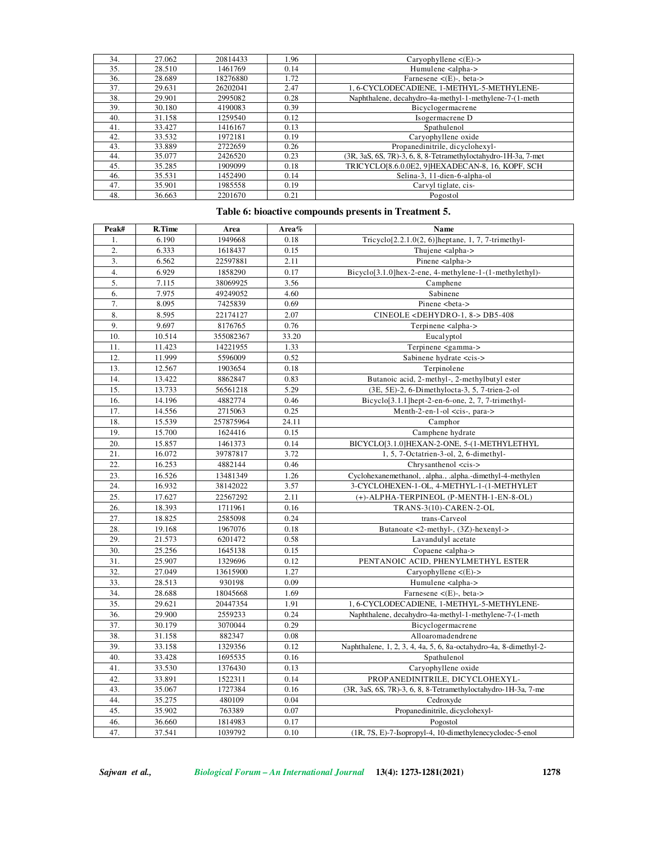| 34. | 27.062 | 20814433 | 1.96 | Caryophyllene $\langle (E) - \rangle$                          |
|-----|--------|----------|------|----------------------------------------------------------------|
| 35. | 28.510 | 1461769  | 0.14 | Humulene <alpha-></alpha->                                     |
| 36. | 28.689 | 18276880 | 1.72 | Farnesene $\lt$ (E)-, beta->                                   |
| 37. | 29.631 | 26202041 | 2.47 | 1, 6-CYCLODECADIENE, 1-METHYL-5-METHYLENE-                     |
| 38. | 29.901 | 2995082  | 0.28 | Naphthalene, decahydro-4a-methyl-1-methylene-7-(1-meth         |
| 39. | 30.180 | 4190083  | 0.39 | Bicyclogermacrene                                              |
| 40. | 31.158 | 1259540  | 0.12 | Isogermacrene D                                                |
| 41. | 33.427 | 1416167  | 0.13 | Spathulenol                                                    |
| 42. | 33.532 | 1972181  | 0.19 | Caryophyllene oxide                                            |
| 43. | 33.889 | 2722659  | 0.26 | Propanedinitrile, dicyclohexyl-                                |
| 44. | 35.077 | 2426520  | 0.23 | (3R, 3aS, 6S, 7R)-3, 6, 8, 8-Tetramethyloctahydro-1H-3a, 7-met |
| 45. | 35.285 | 1909099  | 0.18 | TRICYCLO[8.6.0.0E2, 9]HEXADECAN-8, 16, KOPF, SCH               |
| 46. | 35.531 | 1452490  | 0.14 | Selina-3, 11-dien-6-alpha-ol                                   |
| 47. | 35.901 | 1985558  | 0.19 | Carvyl tiglate, cis-                                           |
| 48. | 36.663 | 2201670  | 0.21 | Pogostol                                                       |

# **Table 6: bioactive compounds presents in Treatment 5.**

| Peak#            | R.Time | Area      | Area $%$ | Name                                                                 |
|------------------|--------|-----------|----------|----------------------------------------------------------------------|
| 1.               | 6.190  | 1949668   | 0.18     | Tricyclo $[2.2.1.0(2, 6)]$ heptane, 1, 7, 7-trimethyl-               |
| 2.               | 6.333  | 1618437   | 0.15     | Thujene <alpha-></alpha->                                            |
| 3.               | 6.562  | 22597881  | 2.11     | Pinene <alpha-></alpha->                                             |
| $\overline{4}$ . | 6.929  | 1858290   | 0.17     | Bicyclo <sup>[3.1.0]</sup> hex-2-ene, 4-methylene-1-(1-methylethyl)- |
| 5.               | 7.115  | 38069925  | 3.56     | Camphene                                                             |
| 6.               | 7.975  | 49249052  | 4.60     | Sabinene                                                             |
| 7.               | 8.095  | 7425839   | 0.69     | Pinene<br>beta->                                                     |
| 8.               | 8.595  | 22174127  | 2.07     | CINEOLE <dehydro-1, 8-=""> DB5-408</dehydro-1,>                      |
| 9.               | 9.697  | 8176765   | 0.76     | Terpinene <alpha-></alpha->                                          |
| 10.              | 10.514 | 355082367 | 33.20    | Eucalyptol                                                           |
| 11.              | 11.423 | 14221955  | 1.33     | Terpinene <gamma-></gamma->                                          |
| 12.              | 11.999 | 5596009   | 0.52     | Sabinene hydrate <cis-></cis->                                       |
| 13.              | 12.567 | 1903654   | 0.18     | Terpinolene                                                          |
| 14.              | 13.422 | 8862847   | 0.83     | Butanoic acid, 2-methyl-, 2-methylbutyl ester                        |
| 15.              | 13.733 | 56561218  | 5.29     | (3E, 5E)-2, 6-Dimethylocta-3, 5, 7-trien-2-ol                        |
| 16.              | 14.196 | 4882774   | 0.46     | Bicyclo <sup>[3.1.1]</sup> hept-2-en-6-one, 2, 7, 7-trimethyl-       |
| 17.              | 14.556 | 2715063   | 0.25     | Menth-2-en-1-ol <cis-, para-=""></cis-,>                             |
| 18.              | 15.539 | 257875964 | 24.11    | Camphor                                                              |
| 19.              | 15.700 | 1624416   | 0.15     | Camphene hydrate                                                     |
| 20.              | 15.857 | 1461373   | 0.14     | BICYCLO[3.1.0]HEXAN-2-ONE, 5-(1-METHYLETHYL                          |
| 21.              | 16.072 | 39787817  | 3.72     | 1, 5, 7-Octatrien-3-ol, 2, 6-dimethyl-                               |
| 22.              | 16.253 | 4882144   | 0.46     | Chrysanthenol <cis-></cis->                                          |
| 23.              | 16.526 | 13481349  | 1.26     | Cyclohexanemethanol, .alpha., .alpha.-dimethyl-4-methylen            |
| 24.              | 16.932 | 38142022  | 3.57     | 3-CYCLOHEXEN-1-OL, 4-METHYL-1-(1-METHYLET                            |
| 25.              | 17.627 | 22567292  | 2.11     | (+)-ALPHA-TERPINEOL (P-MENTH-1-EN-8-OL)                              |
| 26.              | 18.393 | 1711961   | 0.16     | TRANS-3(10)-CAREN-2-OL                                               |
| 27.              | 18.825 | 2585098   | 0.24     | trans-Carveol                                                        |
| 28.              | 19.168 | 1967076   | 0.18     | Butanoate $\langle 2\text{-methyl-}, (3Z)\text{-hexenyl-}\rangle$    |
| 29.              | 21.573 | 6201472   | 0.58     | Lavandulyl acetate                                                   |
| 30.              | 25.256 | 1645138   | 0.15     | Copaene <alpha-></alpha->                                            |
| 31.              | 25.907 | 1329696   | 0.12     | PENTANOIC ACID, PHENYLMETHYL ESTER                                   |
| 32.              | 27.049 | 13615900  | 1.27     | Caryophyllene $\langle (E) - \rangle$                                |
| 33.              | 28.513 | 930198    | 0.09     | Humulene <alpha-></alpha->                                           |
| 34.              | 28.688 | 18045668  | 1.69     | Farnesene $\lt(E)$ -, beta->                                         |
| 35.              | 29.621 | 20447354  | 1.91     | 1, 6-CYCLODECADIENE, 1-METHYL-5-METHYLENE-                           |
| 36.              | 29.900 | 2559233   | 0.24     | Naphthalene, decahydro-4a-methyl-1-methylene-7-(1-meth               |
| 37.              | 30.179 | 3070044   | 0.29     | Bicyclogermacrene                                                    |
| 38.              | 31.158 | 882347    | 0.08     | Alloaromadendrene                                                    |
| 39.              | 33.158 | 1329356   | 0.12     | Naphthalene, 1, 2, 3, 4, 4a, 5, 6, 8a-octahydro-4a, 8-dimethyl-2-    |
| 40.              | 33.428 | 1695535   | 0.16     | Spathulenol                                                          |
| 41.              | 33.530 | 1376430   | 0.13     | Caryophyllene oxide                                                  |
| 42.              | 33.891 | 1522311   | 0.14     | PROPANEDINITRILE, DICYCLOHEXYL-                                      |
| 43.              | 35.067 | 1727384   | 0.16     | (3R, 3aS, 6S, 7R)-3, 6, 8, 8-Tetramethyloctahydro-1H-3a, 7-me        |
| 44.              | 35.275 | 480109    | 0.04     | Cedroxyde                                                            |
| 45.              | 35.902 | 763389    | 0.07     | Propanedinitrile, dicyclohexyl-                                      |
| 46.              | 36.660 | 1814983   | 0.17     | Pogostol                                                             |
| 47.              | 37.541 | 1039792   | 0.10     | (1R, 7S, E)-7-Isopropyl-4, 10-dimethylenecyclodec-5-enol             |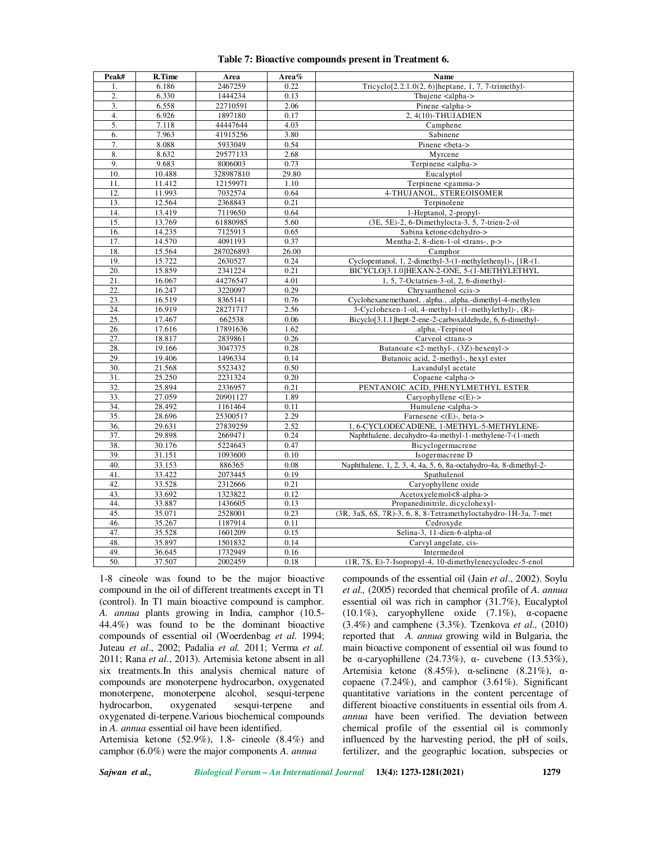| Peak# | R.Time | Area      | Area% | Name                                                                   |
|-------|--------|-----------|-------|------------------------------------------------------------------------|
| 1.    | 6.186  | 2467259   | 0.22  | Tricyclo <sup>[2.2.1.0(2, 6)</sup> ]heptane, 1, 7, 7-trimethyl-        |
| 2.    | 6.330  | 1444234   | 0.13  | Thujene <alpha-></alpha->                                              |
| 3.    | 6.558  | 22710591  | 2.06  | Pinene <alpha-></alpha->                                               |
| 4.    | 6.926  | 1897180   | 0.17  | 2, 4(10)-THUJADIEN                                                     |
| 5.    | 7.118  | 44447644  | 4.03  | Camphene                                                               |
| 6.    | 7.963  | 41915256  | 3.80  | Sabinene                                                               |
| 7.    | 8.088  | 5933049   | 0.54  | Pinene <beta-></beta->                                                 |
| 8.    | 8.632  | 29577133  | 2.68  | Myrcene                                                                |
| 9.    | 9.683  | 8006003   | 0.73  | Terpinene <alpha-></alpha->                                            |
| 10.   | 10.488 | 328987810 | 29.80 | Eucalyptol                                                             |
| 11.   | 11.412 | 12159971  | 1.10  | Terpinene <gamma-></gamma->                                            |
| 12.   | 11.993 | 7032574   | 0.64  | 4-THUJANOL, STEREOISOMER                                               |
| 13.   | 12.564 | 2368843   | 0.21  | Terpinolene                                                            |
| 14.   | 13.419 | 7119650   | 0.64  | 1-Heptanol, 2-propyl-                                                  |
| 15.   | 13.769 | 61880985  | 5.60  | (3E, 5E)-2, 6-Dimethylocta-3, 5, 7-trien-2-ol                          |
| 16.   | 14.235 | 7125913   | 0.65  | Sabina ketone <dehydro-></dehydro->                                    |
| 17.   | 14.570 | 4091193   | 0.37  | Mentha-2, 8-dien-1-ol <trans-, p-=""></trans-,>                        |
| 18.   | 15.564 | 287026893 | 26.00 | Camphor                                                                |
| 19.   | 15.722 | 2630527   | 0.24  | Cyclopentanol, 1, 2-dimethyl-3-(1-methylethenyl)-, [1R-(1.             |
| 20.   | 15.859 | 2341224   | 0.21  | BICYCLO[3.1.0]HEXAN-2-ONE, 5-(1-METHYLETHYL                            |
| 21.   | 16.067 | 44276547  | 4.01  | 1, 5, 7-Octatrien-3-ol, 2, 6-dimethyl-                                 |
| 22.   | 16.247 | 3220097   | 0.29  | Chrysanthenol <cis-></cis->                                            |
| 23.   | 16.519 | 8365141   | 0.76  | Cyclohexanemethanol, .alpha., .alpha.-dimethyl-4-methylen              |
| 24.   | 16.919 | 28271717  | 2.56  | $3$ -Cyclohexen-1-ol, 4-methyl-1- $(1$ -methylethyl)-, $(R)$ -         |
| 25.   | 17.467 | 662538    | 0.06  | Bicyclo <sup>[3.1.1]</sup> hept-2-ene-2-carboxaldehyde, 6, 6-dimethyl- |
| 26.   | 17.616 | 17891636  | 1.62  | .alpha.-Terpineol                                                      |
| 27.   | 18.817 | 2839861   | 0.26  | Carveol <trans-></trans->                                              |
| 28.   | 19.166 | 3047375   | 0.28  | Butanoate <2-methyl-, (3Z)-hexenyl->                                   |
| 29.   | 19.406 | 1496334   | 0.14  | Butanoic acid, 2-methyl-, hexyl ester                                  |
| 30.   | 21.568 | 5523432   | 0.50  | Lavandulyl acetate                                                     |
| 31.   | 25.250 | 2231324   | 0.20  | Copaene <alpha-></alpha->                                              |
| 32.   | 25.894 | 2336957   | 0.21  | PENTANOIC ACID, PHENYLMETHYL ESTER                                     |
| 33.   | 27.059 | 20901127  | 1.89  | Caryophyllene $\lt(E)$ ->                                              |
| 34.   | 28.492 | 1161464   | 0.11  | Humulene <alpha-></alpha->                                             |
| 35.   | 28.696 | 25300517  | 2.29  | Farnesene $\lt$ (E)-, beta->                                           |
| 36.   | 29.631 | 27839259  | 2.52  | 1, 6-CYCLODECADIENE, 1-METHYL-5-METHYLENE-                             |
| 37.   | 29.898 | 2669471   | 0.24  | Naphthalene, decahydro-4a-methyl-1-methylene-7-(1-meth                 |
| 38.   | 30.176 | 5224643   | 0.47  | Bicyclogermacrene                                                      |
| 39.   | 31.151 | 1093600   | 0.10  | Isogermacrene D                                                        |
| 40.   | 33.153 | 886365    | 0.08  | Naphthalene, 1, 2, 3, 4, 4a, 5, 6, 8a-octahydro-4a, 8-dimethyl-2-      |
| 41.   | 33.422 | 2073445   | 0.19  | Spathulenol                                                            |
| 42.   | 33.528 | 2312666   | 0.21  | Caryophyllene oxide                                                    |
| 43.   | 33.692 | 1323822   | 0.12  | Acetoxyelemol<8-alpha->                                                |
| 44.   | 33.887 | 1436605   | 0.13  | Propanedinitrile, dicyclohexyl-                                        |
| 45.   | 35.071 | 2528001   | 0.23  | (3R, 3aS, 6S, 7R)-3, 6, 8, 8-Tetramethyloctahydro-1H-3a, 7-met         |
| 46.   | 35.267 | 1187914   | 0.11  | Cedroxyde                                                              |
| 47.   | 35.528 | 1601209   | 0.15  | Selina-3, 11-dien-6-alpha-ol                                           |
| 48.   | 35.897 | 1501832   | 0.14  | Carvyl angelate, cis-                                                  |
| 49.   | 36.645 | 1732949   | 0.16  | Intermedeol                                                            |
| 50.   | 37.507 | 2002459   | 0.18  | (1R, 7S, E)-7-Isopropyl-4, 10-dimethylenecyclodec-5-enol               |
|       |        |           |       |                                                                        |

### **Table 7: Bioactive compounds present in Treatment 6.**

1-8 cineole was found to be the major bioactive compound in the oil of different treatments except in T1 (control). In T1 main bioactive compound is camphor. *A. annua* plants growing in India, camphor (10.5- 44.4%) was found to be the dominant bioactive compounds of essential oil (Woerdenbag *et al.* 1994; Juteau *et al*., 2002; Padalia *et al.* 2011; Verma *et al.* 2011; Rana *et al*., 2013). Artemisia ketone absent in all six treatments.In this analysis chemical nature of compounds are monoterpene hydrocarbon, oxygenated monoterpene, monoterpene alcohol, sesqui-terpene hydrocarbon, oxygenated sesqui-terpene and oxygenated di-terpene.Various biochemical compounds in *A. annua* essential oil have been identified.

Artemisia ketone (52.9%), 1.8- cineole (8.4%) and camphor (6.0%) were the major components *A. annua*

compounds of the essential oil (Jain *et al*., 2002). Soylu *et al.,* (2005) recorded that chemical profile of *A. annua* essential oil was rich in camphor (31.7%), Eucalyptol (10.1%), caryophyllene oxide (7.1%), α-copaene (3.4%) and camphene (3.3%). Tzenkova *et al.,* (2010) reported that *A. annua* growing wild in Bulgaria, the main bioactive component of essential oil was found to be α-caryophillene (24.73%), α- cuvebene (13.53%), Artemisia ketone (8.45%), α-selinene (8.21%), αcopaene (7.24%), and camphor (3.61%). Significant quantitative variations in the content percentage of different bioactive constituents in essential oils from *A. annua* have been verified. The deviation between chemical profile of the essential oil is commonly influenced by the harvesting period, the pH of soils, fertilizer, and the geographic location, subspecies or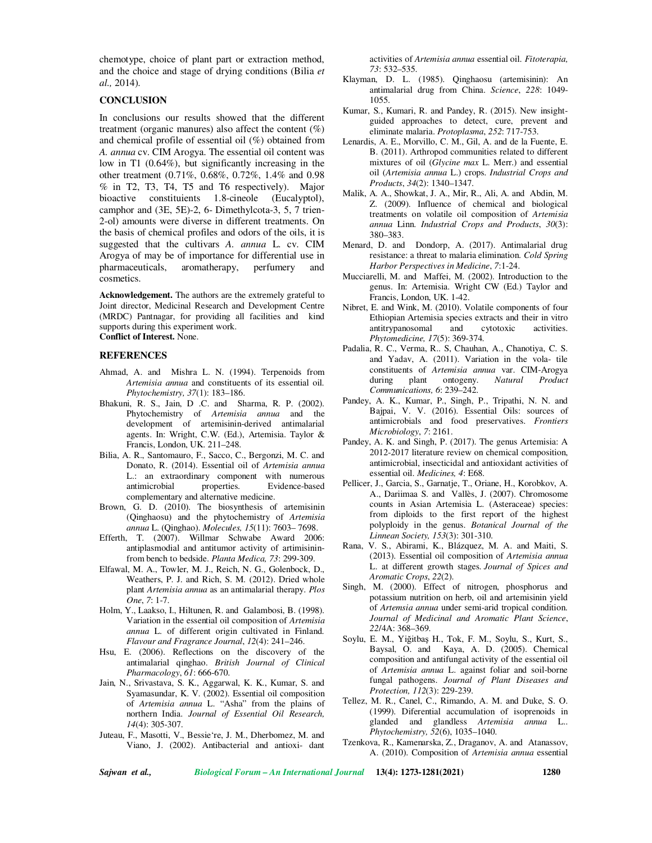chemotype, choice of plant part or extraction method, and the choice and stage of drying conditions (Bilia *et al.,* 2014).

## **CONCLUSION**

In conclusions our results showed that the different treatment (organic manures) also affect the content  $(\%)$ and chemical profile of essential oil (%) obtained from *A. annua* cv. CIM Arogya. The essential oil content was low in T1 (0.64%), but significantly increasing in the other treatment (0.71%, 0.68%, 0.72%, 1.4% and 0.98 % in T2, T3, T4, T5 and T6 respectively). Major bioactive constituients 1.8-cineole (Eucalyptol), camphor and (3E, 5E)-2, 6- Dimethylcota-3, 5, 7 trien-2-ol) amounts were diverse in different treatments. On the basis of chemical profiles and odors of the oils, it is suggested that the cultivars *A. annua* L. cv. CIM Arogya of may be of importance for differential use in pharmaceuticals, aromatherapy, perfumery and cosmetics.

**Acknowledgement.** The authors are the extremely grateful to Joint director, Medicinal Research and Development Centre (MRDC) Pantnagar, for providing all facilities and kind supports during this experiment work. **Conflict of Interest.** None.

## **REFERENCES**

- Ahmad, A. and Mishra L. N. (1994). Terpenoids from *Artemisia annua* and constituents of its essential oil. *Phytochemistry, 37*(1): 183–186.
- Bhakuni, R. S., Jain, D .C. and Sharma, R. P. (2002). Phytochemistry of *Artemisia annua* and the development of artemisinin-derived antimalarial agents. In: Wright, C.W. (Ed.), Artemisia. Taylor & Francis, London, UK. 211–248.
- Bilia, A. R., Santomauro, F., Sacco, C., Bergonzi, M. C. and Donato, R. (2014). Essential oil of *Artemisia annua* L.: an extraordinary component with numerous<br>antimicrobial properties. Evidence-based antimicrobial properties. Evidence-based complementary and alternative medicine.
- Brown, G. D. (2010). The biosynthesis of artemisinin (Qinghaosu) and the phytochemistry of *Artemisia annua* L. (Qinghao). *Molecules, 15*(11): 7603– 7698.
- Efferth, T. (2007). Willmar Schwabe Award 2006: antiplasmodial and antitumor activity of artimisininfrom bench to bedside. *Planta Medica, 73*: 299-309.
- Elfawal, M. A., Towler, M. J., Reich, N. G., Golenbock, D., Weathers, P. J. and Rich, S. M. (2012). Dried whole plant *Artemisia annua* as an antimalarial therapy. *Plos One*, *7*: 1-7.
- Holm, Y., Laakso, I., Hiltunen, R. and Galambosi, B. (1998). Variation in the essential oil composition of *Artemisia annua* L. of different origin cultivated in Finland. *Flavour and Fragrance Journal*, *12*(4): 241–246.
- Hsu, E. (2006). Reflections on the discovery of the antimalarial qinghao. *British Journal of Clinical Pharmacology*, *61*: 666-670.
- Jain, N., Srivastava, S. K., Aggarwal, K. K., Kumar, S. and Syamasundar, K. V. (2002). Essential oil composition of *Artemisia annua* L. "Asha" from the plains of northern India. *Journal of Essential Oil Research, 14*(4): 305-307.
- Juteau, F., Masotti, V., Bessie're, J. M., Dherbomez, M. and Viano, J. (2002). Antibacterial and antioxi- dant

activities of *Artemisia annua* essential oil. *Fitoterapia, 73*: 532–535.

- Klayman, D. L. (1985). Qinghaosu (artemisinin): An antimalarial drug from China. *Science*, *228*: 1049- 1055.
- Kumar, S., Kumari, R. and Pandey, R. (2015). New insightguided approaches to detect, cure, prevent and eliminate malaria. *Protoplasma*, *252*: 717-753.
- Lenardis, A. E., Morvillo, C. M., Gil, A. and de la Fuente, E. B. (2011). Arthropod communities related to different mixtures of oil (*Glycine max* L. Merr.) and essential oil (*Artemisia annua* L.) crops. *Industrial Crops and Products*, *34*(2): 1340–1347.
- Malik, A. A., Showkat, J. A., Mir, R., Ali, A. and Abdin, M. Z. (2009). Influence of chemical and biological treatments on volatile oil composition of *Artemisia annua* Linn. *Industrial Crops and Products*, *30*(3): 380–383.
- Menard, D. and Dondorp, A. (2017). Antimalarial drug resistance: a threat to malaria elimination. *Cold Spring Harbor Perspectives in Medicine*, *7*:1-24.
- Mucciarelli, M. and Maffei, M. (2002). Introduction to the genus. In: Artemisia. Wright CW (Ed.) Taylor and Francis, London, UK. 1-42.
- Nibret, E. and Wink, M. (2010). Volatile components of four Ethiopian Artemisia species extracts and their in vitro antitrypanosomal and cytotoxic activities. *Phytomedicine, 17*(5): 369-374.
- Padalia, R. C., Verma, R.. S, Chauhan, A., Chanotiya, C. S. and Yadav, A. (2011). Variation in the vola- tile constituents of *Artemisia annua* var. CIM-Arogya during plant ontogeny. *Natural Product Communications, 6*: 239–242.
- Pandey, A. K., Kumar, P., Singh, P., Tripathi, N. N. and Bajpai, V. V. (2016). Essential Oils: sources of antimicrobials and food preservatives. *Frontiers Microbiology*, *7*: 2161.
- Pandey, A. K. and Singh, P. (2017). The genus Artemisia: A 2012-2017 literature review on chemical composition, antimicrobial, insecticidal and antioxidant activities of essential oil. *Medicines, 4*: E68.
- Pellicer, J., Garcia, S., Garnatje, T., Oriane, H., Korobkov, A. A., Dariimaa S. and Vallès, J. (2007). Chromosome counts in Asian Artemisia L. (Asteraceae) species: from diploids to the first report of the highest polyploidy in the genus. *Botanical Journal of the Linnean Society, 153*(3): 301-310.
- Rana, V. S., Abirami, K., Blázquez, M. A. and Maiti, S. (2013). Essential oil composition of *Artemisia annua* L. at different growth stages. *Journal of Spices and Aromatic Crops*, *22*(2).
- Singh, M. (2000). Effect of nitrogen, phosphorus and potassium nutrition on herb, oil and artemisinin yield of *Artemsia annua* under semi-arid tropical condition. *Journal of Medicinal and Aromatic Plant Science*, *22*/4A: 368–369.
- Soylu, E. M., Yiğitbaş H., Tok, F. M., Soylu, S., Kurt, S., Baysal, O. and Kaya, A. D. (2005). Chemical composition and antifungal activity of the essential oil of *Artemisia annua* L. against foliar and soil-borne fungal pathogens. *Journal of Plant Diseases and Protection, 112*(3): 229-239.
- Tellez, M. R., Canel, C., Rimando, A. M. and Duke, S. O. (1999). Diferential accumulation of isoprenoids in glanded and glandless *Artemisia annua* L.. *Phytochemistry, 52*(6), 1035–1040.
- Tzenkova, R., Kamenarska, Z., Draganov, A. and Atanassov, A. (2010). Composition of *Artemisia annua* essential

*Sajwan et al., Biological Forum – An International Journal* **13(4): 1273-1281(2021) 1280**